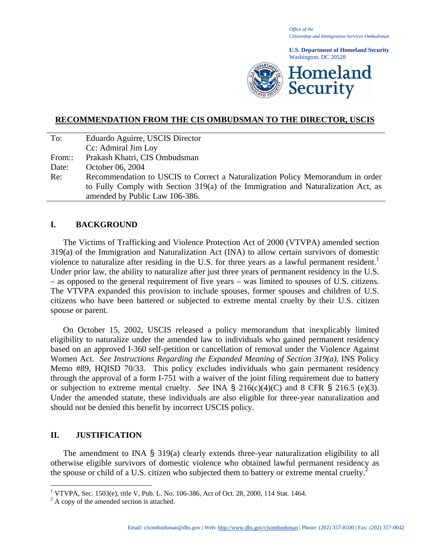*Office of the Citizenship and Immigration Services Ombudsman* 

**U.S. Department of Homeland Security**  Washington, DC 20528



### **RECOMMENDATION FROM THE CIS OMBUDSMAN TO THE DIRECTOR, USCIS**

| To:    | Eduardo Aguirre, USCIS Director                                                   |
|--------|-----------------------------------------------------------------------------------|
|        | Cc: Admiral Jim Loy                                                               |
| From:: | Prakash Khatri, CIS Ombudsman                                                     |
| Date:  | October 06, 2004                                                                  |
| Re:    | Recommendation to USCIS to Correct a Naturalization Policy Memorandum in order    |
|        | to Fully Comply with Section 319(a) of the Immigration and Naturalization Act, as |
|        | amended by Public Law 106-386.                                                    |

#### **I. BACKGROUND**

 The Victims of Trafficking and Violence Protection Act of 2000 (VTVPA) amended section 319(a) of the Immigration and Naturalization Act (INA) to allow certain survivors of domestic violence to naturalize after residing in the U.S. for three years as a lawful permanent resident.<sup>1</sup> Under prior law, the ability to naturalize after just three years of permanent residency in the U.S. – as opposed to the general requirement of five years – was limited to spouses of U.S. citizens. The VTVPA expanded this provision to include spouses, former spouses and children of U.S. citizens who have been battered or subjected to extreme mental cruelty by their U.S. citizen spouse or parent.

 On October 15, 2002, USCIS released a policy memorandum that inexplicably limited eligibility to naturalize under the amended law to individuals who gained permanent residency based on an approved I-360 self-petition or cancellation of removal under the Violence Against Women Act. *See Instructions Regarding the Expanded Meaning of Section 319(a)*, INS Policy Memo #89, HQISD 70/33. This policy excludes individuals who gain permanent residency through the approval of a form I-751 with a waiver of the joint filing requirement due to battery or subjection to extreme mental cruelty. *See* INA § 216(c)(4)(C) and 8 CFR § 216.5 (e)(3). Under the amended statute, these individuals are also eligible for three-year naturalization and should not be denied this benefit by incorrect USCIS policy.

#### **II. JUSTIFICATION**

 $\overline{a}$ 

The amendment to INA § 319(a) clearly extends three-year naturalization eligibility to all otherwise eligible survivors of domestic violence who obtained lawful permanent residency as the spouse or child of a U.S. citizen who subjected them to battery or extreme mental cruelty.<sup>2</sup>

<sup>&</sup>lt;sup>1</sup> VTVPA, Sec. 1503(e), title V, Pub. L. No. 106-386, Act of Oct. 28, 2000, 114 Stat. 1464.

 $^{2}$  A copy of the amended section is attached.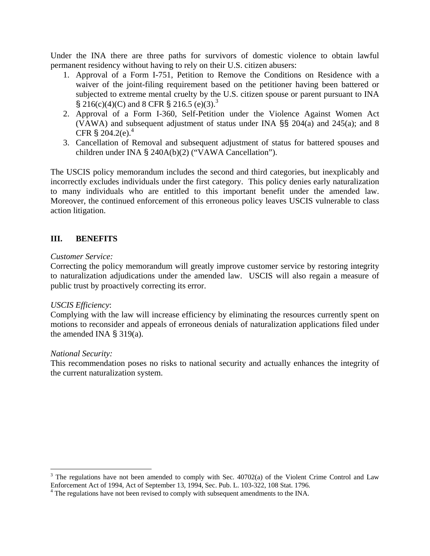Under the INA there are three paths for survivors of domestic violence to obtain lawful permanent residency without having to rely on their U.S. citizen abusers:

- 1. Approval of a Form I-751, Petition to Remove the Conditions on Residence with a waiver of the joint-filing requirement based on the petitioner having been battered or subjected to extreme mental cruelty by the U.S. citizen spouse or parent pursuant to INA  $\S 216(c)(4)(C)$  and 8 CFR  $\S 216.5(c)(3)^{3}$
- 2. Approval of a Form I-360, Self-Petition under the Violence Against Women Act (VAWA) and subsequent adjustment of status under INA §§ 204(a) and 245(a); and 8 CFR  $\S 204.2$ (e).<sup>4</sup>
- 3. Cancellation of Removal and subsequent adjustment of status for battered spouses and children under INA § 240A(b)(2) ("VAWA Cancellation").

The USCIS policy memorandum includes the second and third categories, but inexplicably and incorrectly excludes individuals under the first category. This policy denies early naturalization to many individuals who are entitled to this important benefit under the amended law. Moreover, the continued enforcement of this erroneous policy leaves USCIS vulnerable to class action litigation.

## **III. BENEFITS**

#### *Customer Service:*

Correcting the policy memorandum will greatly improve customer service by restoring integrity to naturalization adjudications under the amended law. USCIS will also regain a measure of public trust by proactively correcting its error.

### *USCIS Efficiency*:

Complying with the law will increase efficiency by eliminating the resources currently spent on motions to reconsider and appeals of erroneous denials of naturalization applications filed under the amended INA  $\S$  319(a).

#### *National Security:*

<u>.</u>

This recommendation poses no risks to national security and actually enhances the integrity of the current naturalization system.

 $3$  The regulations have not been amended to comply with Sec. 40702(a) of the Violent Crime Control and Law Enforcement Act of 1994, Act of September 13, 1994, Sec. Pub. L. 103-322, 108 Stat. 1796.

<sup>&</sup>lt;sup>4</sup> The regulations have not been revised to comply with subsequent amendments to the INA.